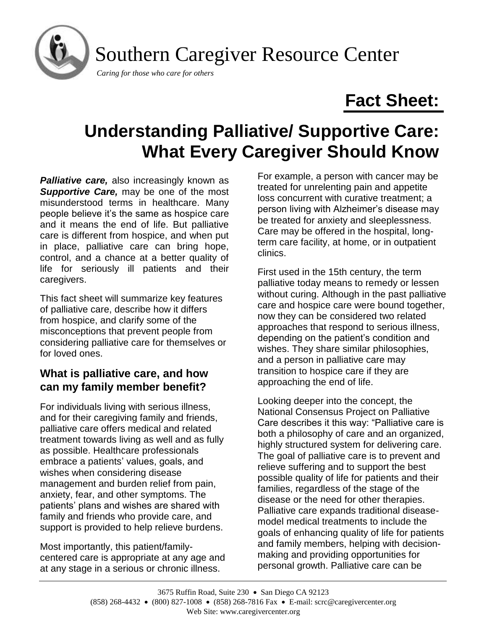

# **Fact Sheet:**

# **Understanding Palliative/ Supportive Care: What Every Caregiver Should Know**

*Palliative care,* also increasingly known as *Supportive Care,* may be one of the most misunderstood terms in healthcare. Many people believe it's the same as hospice care and it means the end of life. But palliative care is different from hospice, and when put in place, palliative care can bring hope, control, and a chance at a better quality of life for seriously ill patients and their caregivers.

This fact sheet will summarize key features of palliative care, describe how it differs from hospice, and clarify some of the misconceptions that prevent people from considering palliative care for themselves or for loved ones.

# **What is palliative care, and how can my family member benefit?**

For individuals living with serious illness, and for their caregiving family and friends, palliative care offers medical and related treatment towards living as well and as fully as possible. Healthcare professionals embrace a patients' values, goals, and wishes when considering disease management and burden relief from pain, anxiety, fear, and other symptoms. The patients' plans and wishes are shared with family and friends who provide care, and support is provided to help relieve burdens.

Most importantly, this patient/familycentered care is appropriate at any age and at any stage in a serious or chronic illness.

For example, a person with cancer may be treated for unrelenting pain and appetite loss concurrent with curative treatment; a person living with Alzheimer's disease may be treated for anxiety and sleeplessness. Care may be offered in the hospital, longterm care facility, at home, or in outpatient clinics.

First used in the 15th century, the term palliative today means to remedy or lessen without curing. Although in the past palliative care and hospice care were bound together, now they can be considered two related approaches that respond to serious illness, depending on the patient's condition and wishes. They share similar philosophies, and a person in palliative care may transition to hospice care if they are approaching the end of life.

Looking deeper into the concept, the National Consensus Project on Palliative Care describes it this way: "Palliative care is both a philosophy of care and an organized, highly structured system for delivering care. The goal of palliative care is to prevent and relieve suffering and to support the best possible quality of life for patients and their families, regardless of the stage of the disease or the need for other therapies. Palliative care expands traditional diseasemodel medical treatments to include the goals of enhancing quality of life for patients and family members, helping with decisionmaking and providing opportunities for personal growth. Palliative care can be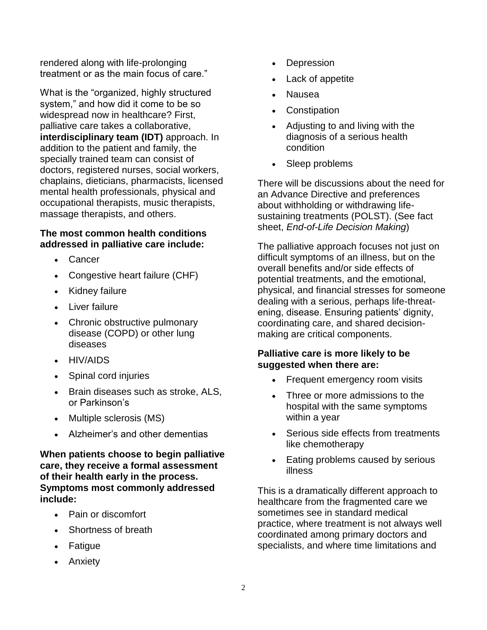rendered along with life-prolonging treatment or as the main focus of care."

What is the "organized, highly structured system," and how did it come to be so widespread now in healthcare? First, palliative care takes a collaborative, **interdisciplinary team (IDT)** approach. In addition to the patient and family, the specially trained team can consist of doctors, registered nurses, social workers, chaplains, dieticians, pharmacists, licensed mental health professionals, physical and occupational therapists, music therapists, massage therapists, and others.

#### **The most common health conditions addressed in palliative care include:**

- Cancer
- Congestive heart failure (CHF)
- Kidney failure
- Liver failure
- Chronic obstructive pulmonary disease (COPD) or other lung diseases
- HIV/AIDS
- Spinal cord injuries
- Brain diseases such as stroke, ALS, or Parkinson's
- Multiple sclerosis (MS)
- Alzheimer's and other dementias

**When patients choose to begin palliative care, they receive a formal assessment of their health early in the process. Symptoms most commonly addressed include:**

- Pain or discomfort
- Shortness of breath
- Fatigue
- Anxiety
- **Depression**
- Lack of appetite
- Nausea
- **Constipation**
- Adjusting to and living with the diagnosis of a serious health condition
- Sleep problems

There will be discussions about the need for an Advance Directive and preferences about withholding or withdrawing lifesustaining treatments (POLST). (See fact sheet, *End-of-Life Decision Making*)

The palliative approach focuses not just on difficult symptoms of an illness, but on the overall benefits and/or side effects of potential treatments, and the emotional, physical, and financial stresses for someone dealing with a serious, perhaps life-threatening, disease. Ensuring patients' dignity, coordinating care, and shared decisionmaking are critical components.

## **Palliative care is more likely to be suggested when there are:**

- Frequent emergency room visits
- Three or more admissions to the hospital with the same symptoms within a year
- Serious side effects from treatments like chemotherapy
- Eating problems caused by serious illness

This is a dramatically different approach to healthcare from the fragmented care we sometimes see in standard medical practice, where treatment is not always well coordinated among primary doctors and specialists, and where time limitations and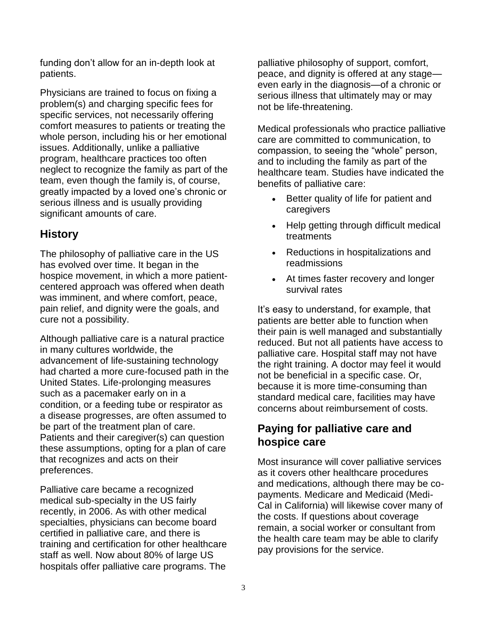funding don't allow for an in-depth look at patients.

Physicians are trained to focus on fixing a problem(s) and charging specific fees for specific services, not necessarily offering comfort measures to patients or treating the whole person, including his or her emotional issues. Additionally, unlike a palliative program, healthcare practices too often neglect to recognize the family as part of the team, even though the family is, of course, greatly impacted by a loved one's chronic or serious illness and is usually providing significant amounts of care.

# **History**

The philosophy of palliative care in the US has evolved over time. It began in the hospice movement, in which a more patientcentered approach was offered when death was imminent, and where comfort, peace, pain relief, and dignity were the goals, and cure not a possibility.

Although palliative care is a natural practice in many cultures worldwide, the advancement of life-sustaining technology had charted a more cure-focused path in the United States. Life-prolonging measures such as a pacemaker early on in a condition, or a feeding tube or respirator as a disease progresses, are often assumed to be part of the treatment plan of care. Patients and their caregiver(s) can question these assumptions, opting for a plan of care that recognizes and acts on their preferences.

Palliative care became a recognized medical sub-specialty in the US fairly recently, in 2006. As with other medical specialties, physicians can become board certified in palliative care, and there is training and certification for other healthcare staff as well. Now about 80% of large US hospitals offer palliative care programs. The

palliative philosophy of support, comfort, peace, and dignity is offered at any stage even early in the diagnosis—of a chronic or serious illness that ultimately may or may not be life-threatening.

Medical professionals who practice palliative care are committed to communication, to compassion, to seeing the "whole" person, and to including the family as part of the healthcare team. Studies have indicated the benefits of palliative care:

- Better quality of life for patient and caregivers
- Help getting through difficult medical treatments
- Reductions in hospitalizations and readmissions
- At times faster recovery and longer survival rates

It's easy to understand, for example, that patients are better able to function when their pain is well managed and substantially reduced. But not all patients have access to palliative care. Hospital staff may not have the right training. A doctor may feel it would not be beneficial in a specific case. Or, because it is more time-consuming than standard medical care, facilities may have concerns about reimbursement of costs.

# **Paying for palliative care and hospice care**

Most insurance will cover palliative services as it covers other healthcare procedures and medications, although there may be copayments. Medicare and Medicaid (Medi-Cal in California) will likewise cover many of the costs. If questions about coverage remain, a social worker or consultant from the health care team may be able to clarify pay provisions for the service.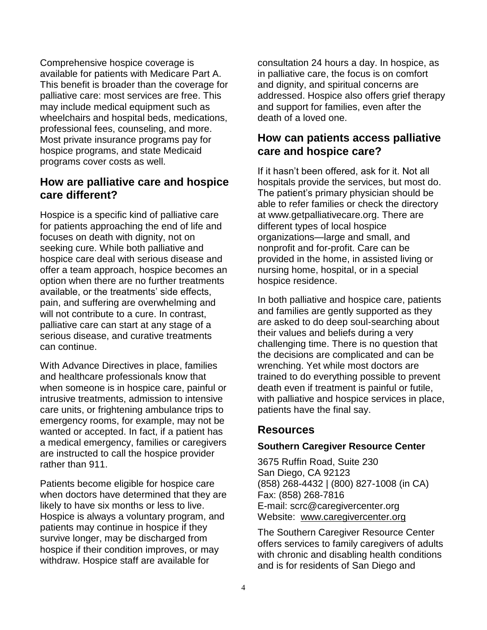Comprehensive hospice coverage is available for patients with Medicare Part A. This benefit is broader than the coverage for palliative care: most services are free. This may include medical equipment such as wheelchairs and hospital beds, medications, professional fees, counseling, and more. Most private insurance programs pay for hospice programs, and state Medicaid programs cover costs as well.

## **How are palliative care and hospice care different?**

Hospice is a specific kind of palliative care for patients approaching the end of life and focuses on death with dignity, not on seeking cure. While both palliative and hospice care deal with serious disease and offer a team approach, hospice becomes an option when there are no further treatments available, or the treatments' side effects, pain, and suffering are overwhelming and will not contribute to a cure. In contrast, palliative care can start at any stage of a serious disease, and curative treatments can continue.

With Advance Directives in place, families and healthcare professionals know that when someone is in hospice care, painful or intrusive treatments, admission to intensive care units, or frightening ambulance trips to emergency rooms, for example, may not be wanted or accepted. In fact, if a patient has a medical emergency, families or caregivers are instructed to call the hospice provider rather than 911.

Patients become eligible for hospice care when doctors have determined that they are likely to have six months or less to live. Hospice is always a voluntary program, and patients may continue in hospice if they survive longer, may be discharged from hospice if their condition improves, or may withdraw. Hospice staff are available for

consultation 24 hours a day. In hospice, as in palliative care, the focus is on comfort and dignity, and spiritual concerns are addressed. Hospice also offers grief therapy and support for families, even after the death of a loved one.

## **How can patients access palliative care and hospice care?**

If it hasn't been offered, ask for it. Not all hospitals provide the services, but most do. The patient's primary physician should be able to refer families or check the directory at www.getpalliativecare.org. There are different types of local hospice organizations—large and small, and nonprofit and for-profit. Care can be provided in the home, in assisted living or nursing home, hospital, or in a special hospice residence.

In both palliative and hospice care, patients and families are gently supported as they are asked to do deep soul-searching about their values and beliefs during a very challenging time. There is no question that the decisions are complicated and can be wrenching. Yet while most doctors are trained to do everything possible to prevent death even if treatment is painful or futile, with palliative and hospice services in place, patients have the final say.

# **Resources**

## **Southern Caregiver Resource Center**

3675 Ruffin Road, Suite 230 San Diego, CA 92123 (858) 268-4432 | (800) 827-1008 (in CA) Fax: (858) 268-7816 E-mail: scrc@caregivercenter.org Website: [www.caregivercenter.org](http://www.caregivercenter.org/)

The Southern Caregiver Resource Center offers services to family caregivers of adults with chronic and disabling health conditions and is for residents of San Diego and